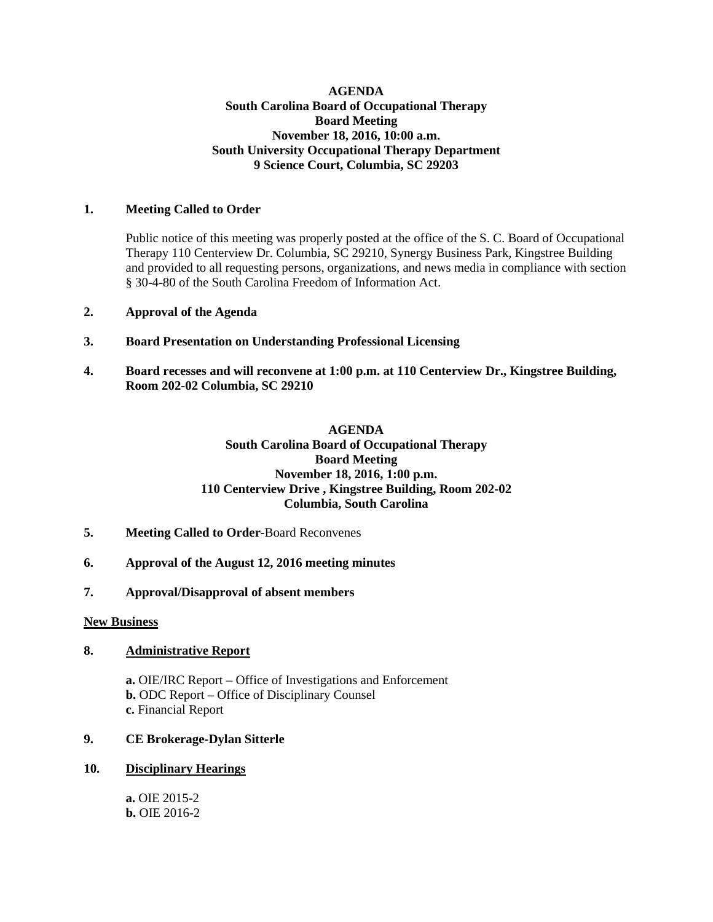#### **AGENDA South Carolina Board of Occupational Therapy Board Meeting November 18, 2016, 10:00 a.m. South University Occupational Therapy Department 9 Science Court, Columbia, SC 29203**

### **1. Meeting Called to Order**

Public notice of this meeting was properly posted at the office of the S. C. Board of Occupational Therapy 110 Centerview Dr. Columbia, SC 29210, Synergy Business Park, Kingstree Building and provided to all requesting persons, organizations, and news media in compliance with section § 30-4-80 of the South Carolina Freedom of Information Act.

#### **2. Approval of the Agenda**

# **3. Board Presentation on Understanding Professional Licensing**

**4. Board recesses and will reconvene at 1:00 p.m. at 110 Centerview Dr., Kingstree Building, Room 202-02 Columbia, SC 29210**

# **AGENDA South Carolina Board of Occupational Therapy Board Meeting November 18, 2016, 1:00 p.m. 110 Centerview Drive , Kingstree Building, Room 202-02 Columbia, South Carolina**

- **5. Meeting Called to Order-**Board Reconvenes
- **6. Approval of the August 12, 2016 meeting minutes**
- **7. Approval/Disapproval of absent members**

#### **New Business**

#### **8. Administrative Report**

**a.** OIE/IRC Report – Office of Investigations and Enforcement **b.** ODC Report – Office of Disciplinary Counsel **c.** Financial Report

#### **9. CE Brokerage-Dylan Sitterle**

# **10. Disciplinary Hearings**

**a.** OIE 2015-2 **b.** OIE 2016-2